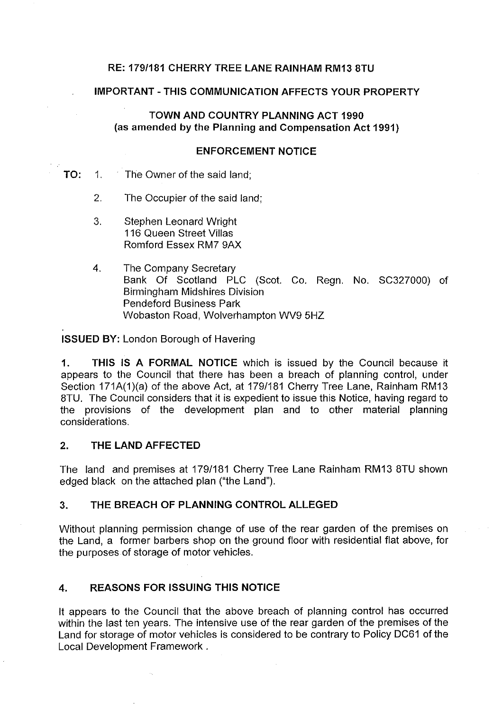## **RE: 1791181 CHERRY TREE LANE RAINHAM RM13 8TU**

#### **IMPORTANT -THIS COMMUNICATION AFFECTS YOUR PROPERTY**

# **TOWN AND COUNTRY PLANNING ACT 1990 (as amended by the Planning and Compensation Act 1991)**

#### **ENFORCEMENT NOTICE**

### **TO:** 1. The Owner of the said land;

- 2. The Occupier of the said land;
- 3. Stephen Leonard Wright 116 Queen Street Villas Romford Essex RM7 9AX
- 4. The Company Secretary Bank Of Scotland PLC (Scot. Co. Regn. No. SC327000) of Birmingham Midshires Division Pendeford Business Park Wobaston Road, Wolverhampton WV9 5HZ

**ISSUED BY:** London Borough of Havering

**1. THIS IS A FORMAL NOTICE** which is issued by the Council because it appears to the Council that there has been a breach of planning control, under Section 171A(1)(a) of the above Act, at 179/181 Cherry Tree Lane, Rainham RM13 BTU. The Council considers that it is expedient to issue this Notice, having regard to the provisions of the development plan and to other material planning considerations.

#### **2. THE LAND AFFECTED**

The land and premises at 179/181 Cherry Tree Lane Rainham RM13 8TU shown edged black on the attached plan ("the Land").

#### **3. THE BREACH OF PLANNING CONTROL ALLEGED**

Without planning permission change of use of the rear garden of the premises on the Land, a former barbers shop on the ground floor with residential flat above, for the purposes of storage of motor vehicles.

# **4. REASONS FOR ISSUING THIS NOTICE**

It appears to the Council that the above breach of planning control has occurred within the last ten years. The intensive use of the rear garden of the premises of the Land for storage of motor vehicles is considered to be contrary to Policy DC61 of the Local Development Framework .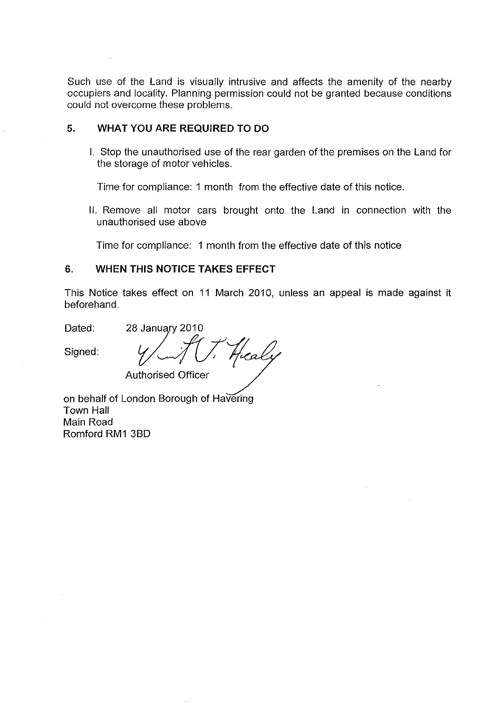Such use of the Land is visually intrusive and affects the amenity of the nearby occupiers and locality. Planning permission could not be granted because conditions could not overcome these problems.

#### **5. WHAT YOU ARE REQUIRED TO DO**

I. Stop the unauthorised use of the rear garden of the premises on the Land for the storage of motor vehicles.

Time for compliance: 1 month from the effective date of this notice.

II. Remove all motor cars brought onto the Land in connection with the unauthorised use above

Time for compliance: 1 month from the effective date of this notice

# **6. WHEN THIS NOTICE TAKES EFFECT**

This Notice takes effect on 11 March 2010, unless an appeal is made against it beforehand.

Dated:

Beforenand.<br>Dated: 28 January 2010<br>Signed: y Allensied Officer Authorised Officer

on behalf of London Borough of Havering Town Hall Main Road Romford RM1 38D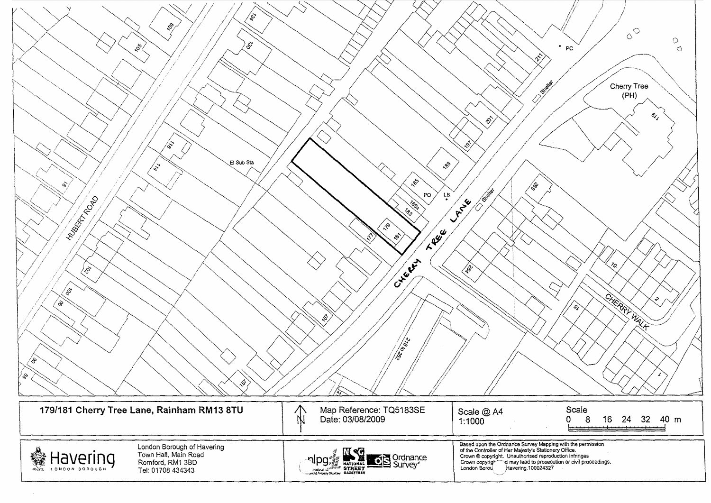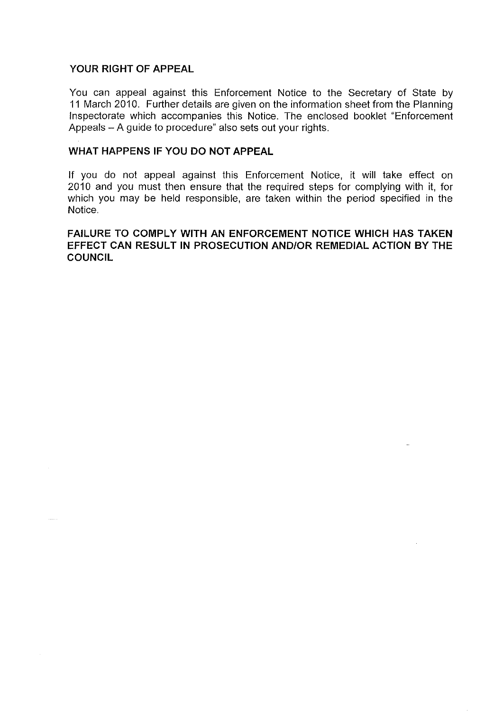## **YOUR RIGHT OF APPEAL**

 $\frac{1}{2}$ 

You can appeal against this Enforcement Notice to the Secretary of State by 11 March 2010. Further details are given on the information sheet from the Planning Inspectorate which accompanies this Notice. The enclosed booklet "Enforcement Appeals - A guide to procedure" also sets out your rights.

## **WHAT HAPPENS IF YOU DO NOT APPEAL**

If you do not appeal against this Enforcement Notice, it will take effect on 2010 and you must then ensure that the required steps for complying with it, for which you may be held responsible, are taken within the period specified in the Notice.

**FAILURE TO COMPLY WITH AN ENFORCEMENT NOTICE WHICH HAS TAKEN EFFECT CAN RESULT IN PROSECUTION AND/OR REMEDIAL ACTION BY THE COUNCIL**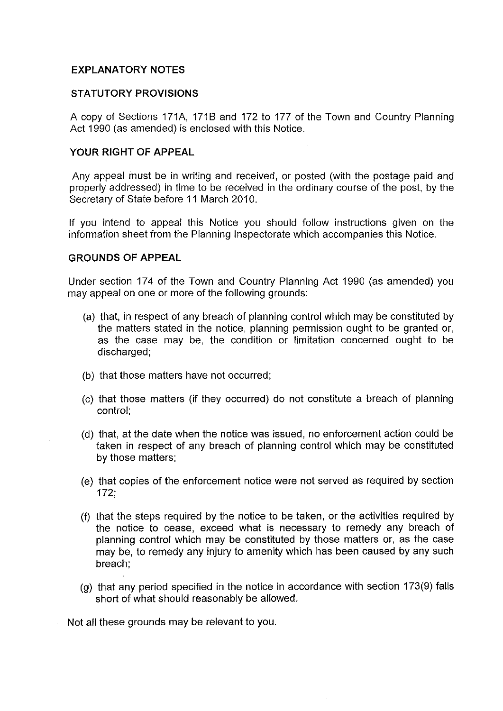# **EXPLANATORY NOTES**

#### **STATUTORY PROVISIONS**

A copy of Sections 171A, 171B and 172 to 177 of the Town and Country Planning Act 1990 (as amended) is enclosed with this Notice.

### **YOUR RIGHT OF APPEAL**

Any appeal must be in writing and received, or posted (with the postage paid and properly addressed) in time to be received in the ordinary course of the post, by the Secretary of State before 11 March 2010.

If you intend to appeal this Notice you should follow instructions given on the information sheet from the Planning Inspectorate which accompanies this Notice.

## **GROUNDS OF APPEAL**

Under section 174 of the Town and Country Planning Act 1990 (as amended) you may appeal on one or more of the following grounds:

- (a) that, in respect of any breach of planning control which may be constituted by the matters stated in the notice, planning permission ought to be granted or, as the case may be, the condition or limitation concerned ought to be discharged;
- (b) that those matters have not occurred;
- (c) that those matters (if they occurred) do not constitute a breach of planning control;
- (d) that, at the date when the notice was issued, no enforcement action could be taken in respect of any breach of planning control which may be constituted by those matters;
- (e) that copies of the enforcement notice were not served as required by section 172;
- (f) that the steps required by the notice to be taken, or the activities required by the notice to cease, exceed what is necessary to remedy any breach of planning control which may be constituted by those matters or, as the case may be, to remedy any injury to amenity which has been caused by any such breach;
- (g) that any period specified in the notice in accordance with section 173(9) falls short of what should reasonably be allowed.

Not all these grounds may be relevant to you.